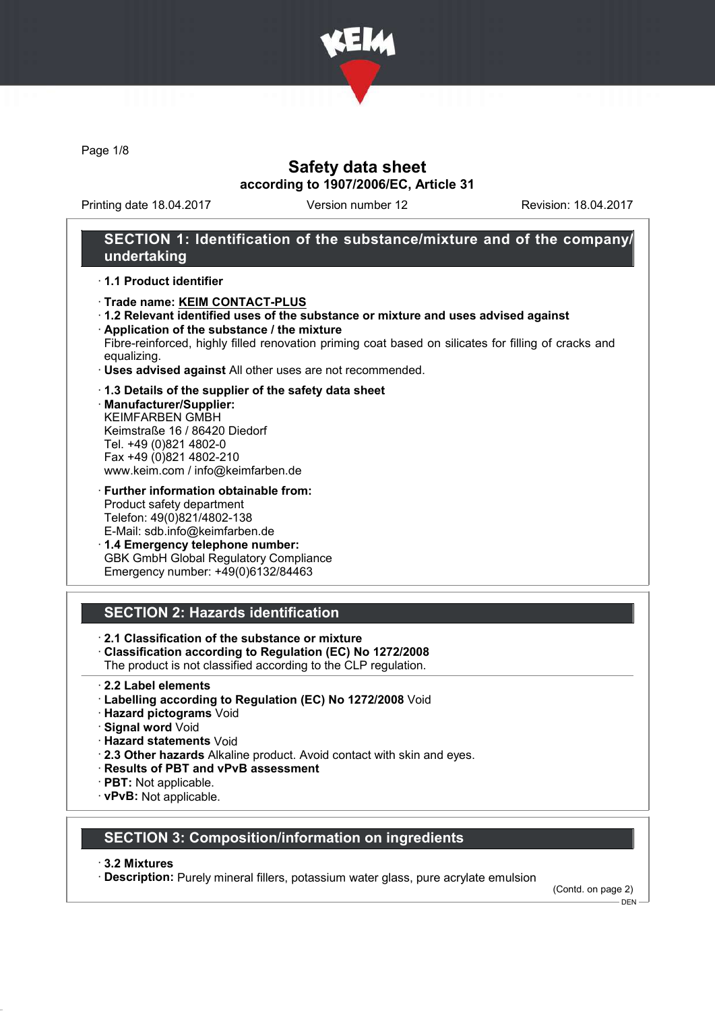

Page 1/8

## Safety data sheet according to 1907/2006/EC, Article 31

Printing date 18.04.2017 Version number 12 Revision: 18.04.2017

## SECTION 1: Identification of the substance/mixture and of the company/ undertaking

### · 1.1 Product identifier

- · Trade name: KEIM CONTACT-PLUS
- · 1.2 Relevant identified uses of the substance or mixture and uses advised against · Application of the substance / the mixture
- Fibre-reinforced, highly filled renovation priming coat based on silicates for filling of cracks and equalizing.
- · Uses advised against All other uses are not recommended.

### · 1.3 Details of the supplier of the safety data sheet

· Manufacturer/Supplier: KEIMFARBEN GMBH Keimstraße 16 / 86420 Diedorf Tel. +49 (0)821 4802-0 Fax +49 (0)821 4802-210 www.keim.com / info@keimfarben.de

· Further information obtainable from: Product safety department Telefon: 49(0)821/4802-138 E-Mail: sdb.info@keimfarben.de

· 1.4 Emergency telephone number: GBK GmbH Global Regulatory Compliance Emergency number: +49(0)6132/84463

## SECTION 2: Hazards identification

· 2.1 Classification of the substance or mixture

- · Classification according to Regulation (EC) No 1272/2008 The product is not classified according to the CLP regulation.
- · 2.2 Label elements
- · Labelling according to Regulation (EC) No 1272/2008 Void
- · Hazard pictograms Void
- · Signal word Void
- · Hazard statements Void
- · 2.3 Other hazards Alkaline product. Avoid contact with skin and eyes.
- · Results of PBT and vPvB assessment
- · PBT: Not applicable.
- · vPvB: Not applicable.

## SECTION 3: Composition/information on ingredients

· 3.2 Mixtures

· Description: Purely mineral fillers, potassium water glass, pure acrylate emulsion

(Contd. on page 2) DEN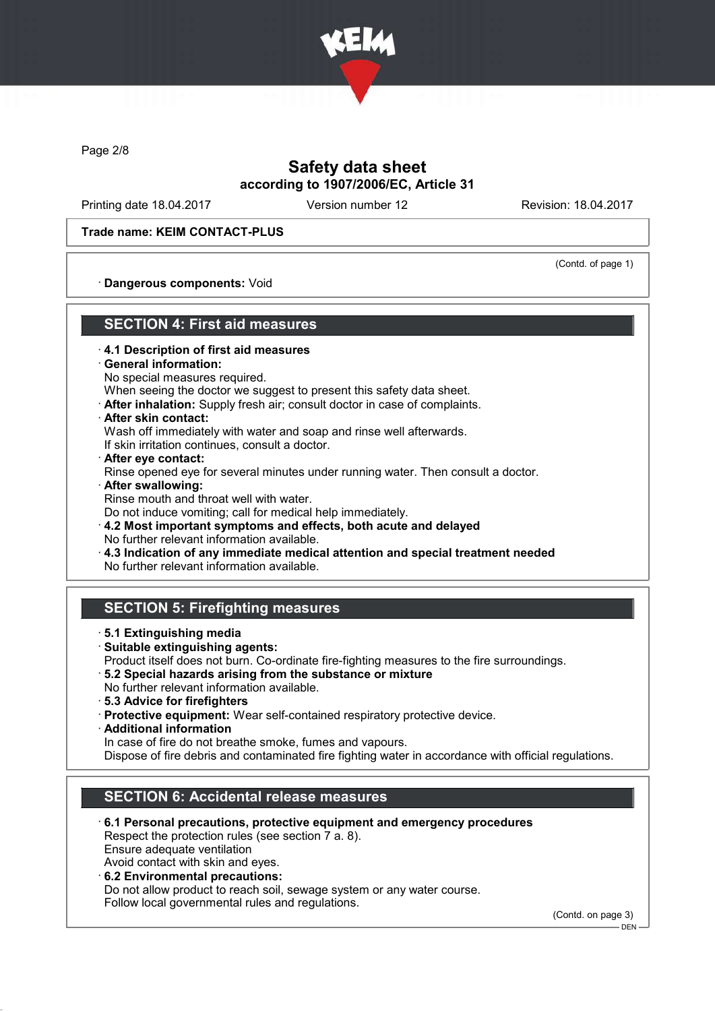

Page 2/8

# Safety data sheet according to 1907/2006/EC, Article 31

Printing date 18.04.2017 Version number 12 Revision: 18.04.2017

### Trade name: KEIM CONTACT-PLUS

(Contd. of page 1)

· Dangerous components: Void

### SECTION 4: First aid measures

- · 4.1 Description of first aid measures
- · General information:
- No special measures required.

When seeing the doctor we suggest to present this safety data sheet.

- · After inhalation: Supply fresh air; consult doctor in case of complaints.
- After skin contact:

Wash off immediately with water and soap and rinse well afterwards.

If skin irritation continues, consult a doctor.

After eve contact:

Rinse opened eye for several minutes under running water. Then consult a doctor.

- After swallowing:
- Rinse mouth and throat well with water.

Do not induce vomiting; call for medical help immediately.

- · 4.2 Most important symptoms and effects, both acute and delayed No further relevant information available.
- · 4.3 Indication of any immediate medical attention and special treatment needed No further relevant information available.

# SECTION 5: Firefighting measures

- · 5.1 Extinguishing media
- · Suitable extinguishing agents:

Product itself does not burn. Co-ordinate fire-fighting measures to the fire surroundings.

- · 5.2 Special hazards arising from the substance or mixture No further relevant information available.
- · 5.3 Advice for firefighters
- · Protective equipment: Wear self-contained respiratory protective device.
- · Additional information

In case of fire do not breathe smoke, fumes and vapours.

Dispose of fire debris and contaminated fire fighting water in accordance with official regulations.

# SECTION 6: Accidental release measures

- · 6.1 Personal precautions, protective equipment and emergency procedures Respect the protection rules (see section 7 a. 8). Ensure adequate ventilation Avoid contact with skin and eyes. · 6.2 Environmental precautions:
- 

Do not allow product to reach soil, sewage system or any water course. Follow local governmental rules and regulations.

(Contd. on page 3)

DEN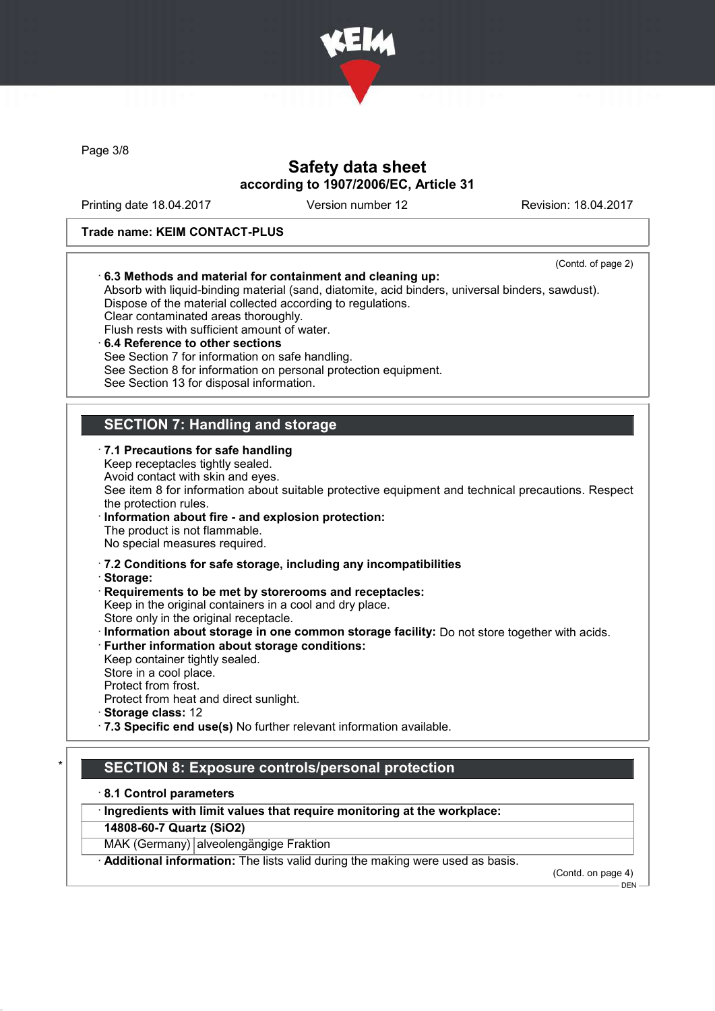

Page 3/8

# Safety data sheet according to 1907/2006/EC, Article 31

Printing date 18.04.2017 Version number 12 Revision: 18.04.2017

### Trade name: KEIM CONTACT-PLUS

| (Contd. of page 2)                                                                                                                                                                                                           |
|------------------------------------------------------------------------------------------------------------------------------------------------------------------------------------------------------------------------------|
| 6.3 Methods and material for containment and cleaning up:<br>Absorb with liquid-binding material (sand, diatomite, acid binders, universal binders, sawdust).<br>Dispose of the material collected according to regulations. |
| Clear contaminated areas thoroughly.                                                                                                                                                                                         |
| Flush rests with sufficient amount of water.                                                                                                                                                                                 |
| 6.4 Reference to other sections                                                                                                                                                                                              |
| See Section 7 for information on safe handling.<br>See Section 8 for information on personal protection equipment.                                                                                                           |
| See Section 13 for disposal information.                                                                                                                                                                                     |
|                                                                                                                                                                                                                              |
| <b>SECTION 7: Handling and storage</b>                                                                                                                                                                                       |
| · 7.1 Precautions for safe handling<br>Keep receptacles tightly sealed.                                                                                                                                                      |
| Avoid contact with skin and eyes.                                                                                                                                                                                            |
| See item 8 for information about suitable protective equipment and technical precautions. Respect                                                                                                                            |
| the protection rules.                                                                                                                                                                                                        |
| Information about fire - and explosion protection:<br>The product is not flammable.                                                                                                                                          |
| No special measures required.                                                                                                                                                                                                |
| .7.2 Conditions for safe storage, including any incompatibilities                                                                                                                                                            |
| · Storage:                                                                                                                                                                                                                   |
| Requirements to be met by storerooms and receptacles:                                                                                                                                                                        |
| Keep in the original containers in a cool and dry place.                                                                                                                                                                     |
| Store only in the original receptacle.                                                                                                                                                                                       |
| · Information about storage in one common storage facility: Do not store together with acids.<br>· Further information about storage conditions:                                                                             |
| Keep container tightly sealed.                                                                                                                                                                                               |
| Store in a cool place.                                                                                                                                                                                                       |
| Protect from frost.                                                                                                                                                                                                          |
| Protect from heat and direct sunlight.                                                                                                                                                                                       |
| · Storage class: 12                                                                                                                                                                                                          |
| · 7.3 Specific end use(s) No further relevant information available.                                                                                                                                                         |
|                                                                                                                                                                                                                              |
| <b>SECTION 8: Exposure controls/personal protection</b>                                                                                                                                                                      |

Ingredients with limit values that require monitoring at the workplace:

14808-60-7 Quartz (SiO2)

MAK (Germany) alveolengängige Fraktion

· Additional information: The lists valid during the making were used as basis.

(Contd. on page 4)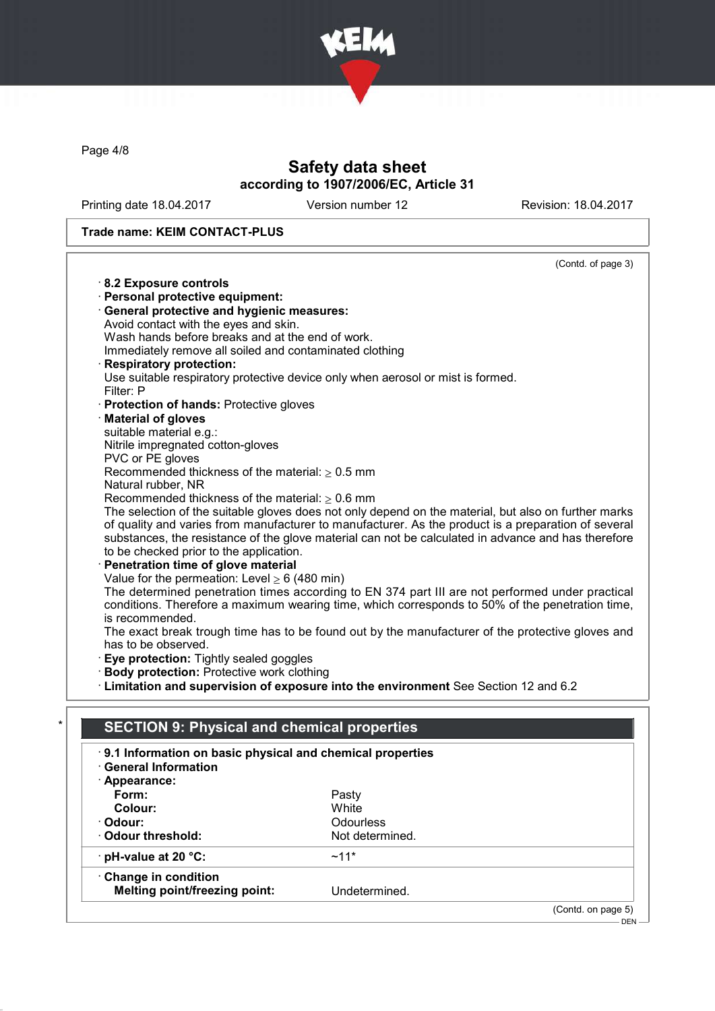

Page 4/8

# Safety data sheet according to 1907/2006/EC, Article 31

Printing date 18.04.2017 Version number 12 Revision: 18.04.2017

(Contd. of page 3)

### Trade name: KEIM CONTACT-PLUS

| 8.2 Exposure controls                                                                                                                                                                                                                                 |                                                                                                      |  |  |                                    |
|-------------------------------------------------------------------------------------------------------------------------------------------------------------------------------------------------------------------------------------------------------|------------------------------------------------------------------------------------------------------|--|--|------------------------------------|
| · Personal protective equipment:                                                                                                                                                                                                                      |                                                                                                      |  |  |                                    |
|                                                                                                                                                                                                                                                       | · General protective and hygienic measures:                                                          |  |  |                                    |
| Avoid contact with the eyes and skin.                                                                                                                                                                                                                 |                                                                                                      |  |  |                                    |
| Wash hands before breaks and at the end of work.                                                                                                                                                                                                      |                                                                                                      |  |  |                                    |
| Immediately remove all soiled and contaminated clothing                                                                                                                                                                                               |                                                                                                      |  |  |                                    |
| <b>Respiratory protection:</b>                                                                                                                                                                                                                        |                                                                                                      |  |  |                                    |
|                                                                                                                                                                                                                                                       | Use suitable respiratory protective device only when aerosol or mist is formed.                      |  |  |                                    |
| Filter: P                                                                                                                                                                                                                                             |                                                                                                      |  |  |                                    |
| · Protection of hands: Protective gloves                                                                                                                                                                                                              |                                                                                                      |  |  |                                    |
| <b>Material of gloves</b>                                                                                                                                                                                                                             |                                                                                                      |  |  |                                    |
| suitable material e.g.:                                                                                                                                                                                                                               |                                                                                                      |  |  |                                    |
| Nitrile impregnated cotton-gloves                                                                                                                                                                                                                     |                                                                                                      |  |  |                                    |
| PVC or PE gloves                                                                                                                                                                                                                                      |                                                                                                      |  |  |                                    |
| Recommended thickness of the material: $\geq 0.5$ mm<br>Natural rubber, NR                                                                                                                                                                            |                                                                                                      |  |  |                                    |
| Recommended thickness of the material: $\geq 0.6$ mm                                                                                                                                                                                                  |                                                                                                      |  |  |                                    |
|                                                                                                                                                                                                                                                       | The selection of the suitable gloves does not only depend on the material, but also on further marks |  |  |                                    |
|                                                                                                                                                                                                                                                       |                                                                                                      |  |  |                                    |
| of quality and varies from manufacturer to manufacturer. As the product is a preparation of several<br>substances, the resistance of the glove material can not be calculated in advance and has therefore<br>to be checked prior to the application. |                                                                                                      |  |  |                                    |
|                                                                                                                                                                                                                                                       |                                                                                                      |  |  | Penetration time of glove material |
| Value for the permeation: Level $\geq 6$ (480 min)                                                                                                                                                                                                    |                                                                                                      |  |  |                                    |
| The determined penetration times according to EN 374 part III are not performed under practical                                                                                                                                                       |                                                                                                      |  |  |                                    |
|                                                                                                                                                                                                                                                       | conditions. Therefore a maximum wearing time, which corresponds to 50% of the penetration time,      |  |  |                                    |
| is recommended.                                                                                                                                                                                                                                       |                                                                                                      |  |  |                                    |
| The exact break trough time has to be found out by the manufacturer of the protective gloves and                                                                                                                                                      |                                                                                                      |  |  |                                    |
| has to be observed.<br>Eye protection: Tightly sealed goggles                                                                                                                                                                                         |                                                                                                      |  |  |                                    |
|                                                                                                                                                                                                                                                       |                                                                                                      |  |  |                                    |
|                                                                                                                                                                                                                                                       | · Limitation and supervision of exposure into the environment See Section 12 and 6.2                 |  |  |                                    |
|                                                                                                                                                                                                                                                       |                                                                                                      |  |  |                                    |
|                                                                                                                                                                                                                                                       |                                                                                                      |  |  |                                    |
| <b>SECTION 9: Physical and chemical properties</b>                                                                                                                                                                                                    |                                                                                                      |  |  |                                    |
| 9.1 Information on basic physical and chemical properties                                                                                                                                                                                             |                                                                                                      |  |  |                                    |
| <b>General Information</b>                                                                                                                                                                                                                            |                                                                                                      |  |  |                                    |
| · Appearance:                                                                                                                                                                                                                                         |                                                                                                      |  |  |                                    |
| Form:                                                                                                                                                                                                                                                 | Pasty                                                                                                |  |  |                                    |
| Colour:                                                                                                                                                                                                                                               | White                                                                                                |  |  |                                    |
| · Odour:                                                                                                                                                                                                                                              | Odourless                                                                                            |  |  |                                    |
| Odour threshold:                                                                                                                                                                                                                                      | Not determined.                                                                                      |  |  |                                    |
|                                                                                                                                                                                                                                                       |                                                                                                      |  |  |                                    |
| pH-value at 20 °C:                                                                                                                                                                                                                                    | $~11*$                                                                                               |  |  |                                    |
| Change in condition                                                                                                                                                                                                                                   |                                                                                                      |  |  |                                    |
| <b>Melting point/freezing point:</b>                                                                                                                                                                                                                  | Undetermined.                                                                                        |  |  |                                    |
|                                                                                                                                                                                                                                                       | (Contd. on page 5)                                                                                   |  |  |                                    |
|                                                                                                                                                                                                                                                       | <b>DEN</b>                                                                                           |  |  |                                    |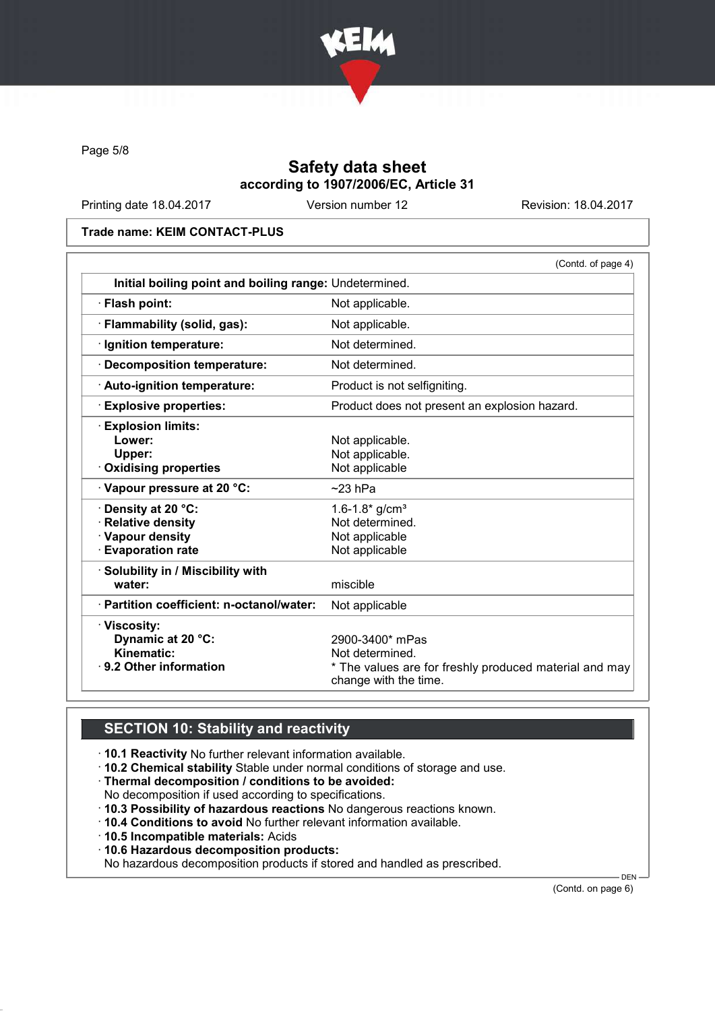

Page 5/8

# Safety data sheet according to 1907/2006/EC, Article 31

Printing date 18.04.2017 Version number 12 Revision: 18.04.2017

Trade name: KEIM CONTACT-PLUS

|                                                        | (Contd. of page 4)                                                              |
|--------------------------------------------------------|---------------------------------------------------------------------------------|
| Initial boiling point and boiling range: Undetermined. |                                                                                 |
| · Flash point:                                         | Not applicable.                                                                 |
| · Flammability (solid, gas):                           | Not applicable.                                                                 |
| · Ignition temperature:                                | Not determined.                                                                 |
| · Decomposition temperature:                           | Not determined.                                                                 |
| · Auto-ignition temperature:                           | Product is not selfigniting.                                                    |
| $\cdot$ Explosive properties:                          | Product does not present an explosion hazard.                                   |
| <b>Explosion limits:</b>                               |                                                                                 |
| Lower:                                                 | Not applicable.                                                                 |
| Upper:                                                 | Not applicable.                                                                 |
| · Oxidising properties                                 | Not applicable                                                                  |
| Vapour pressure at 20 °C:                              | $~23$ hPa                                                                       |
| · Density at 20 °C:                                    | 1.6-1.8 $*$ g/cm <sup>3</sup>                                                   |
| · Relative density                                     | Not determined.                                                                 |
| · Vapour density                                       | Not applicable                                                                  |
| <b>Evaporation rate</b>                                | Not applicable                                                                  |
| · Solubility in / Miscibility with                     |                                                                                 |
| water:                                                 | miscible                                                                        |
| · Partition coefficient: n-octanol/water:              | Not applicable                                                                  |
| · Viscosity:                                           |                                                                                 |
| Dynamic at 20 °C:                                      | 2900-3400* mPas                                                                 |
| Kinematic:                                             | Not determined.                                                                 |
| ⋅ 9.2 Other information                                | * The values are for freshly produced material and may<br>change with the time. |
|                                                        |                                                                                 |

# **SECTION 10: Stability and reactivity**

· 10.1 Reactivity No further relevant information available.

· 10.2 Chemical stability Stable under normal conditions of storage and use.

· Thermal decomposition / conditions to be avoided:

No decomposition if used according to specifications.

· 10.3 Possibility of hazardous reactions No dangerous reactions known.

- · 10.4 Conditions to avoid No further relevant information available.
- · 10.5 Incompatible materials: Acids
- · 10.6 Hazardous decomposition products:

No hazardous decomposition products if stored and handled as prescribed.

(Contd. on page 6)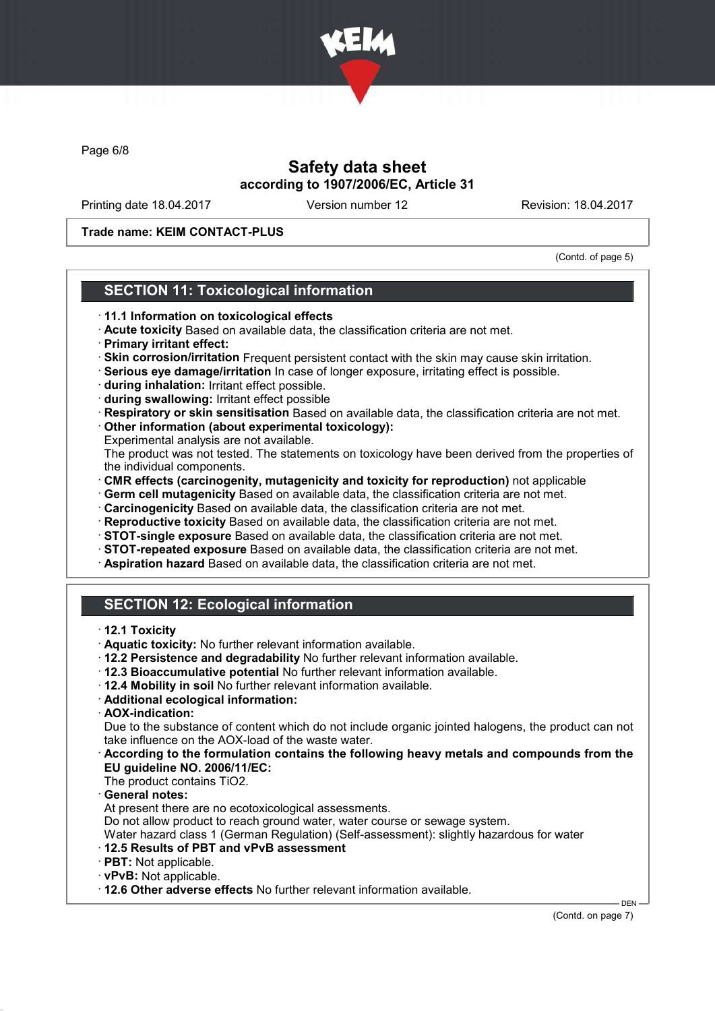

Page 6/8

## Safety data sheet according to 1907/2006/EC, Article 31

Printing date 18.04.2017 Version number 12 Revision: 18.04.2017

### Trade name: KEIM CONTACT-PLUS

(Contd. of page 5)

## SECTION 11: Toxicological information

- · 11.1 Information on toxicological effects
- · Acute toxicity Based on available data, the classification criteria are not met.
- · Primary irritant effect:
- · Skin corrosion/irritation Frequent persistent contact with the skin may cause skin irritation.
- · Serious eye damage/irritation In case of longer exposure, irritating effect is possible.
- · during inhalation: Irritant effect possible.
- · during swallowing: Irritant effect possible
- · Respiratory or skin sensitisation Based on available data, the classification criteria are not met. · Other information (about experimental toxicology):
- Experimental analysis are not available.

The product was not tested. The statements on toxicology have been derived from the properties of the individual components.

- · CMR effects (carcinogenity, mutagenicity and toxicity for reproduction) not applicable
- · Germ cell mutagenicity Based on available data, the classification criteria are not met.
- · Carcinogenicity Based on available data, the classification criteria are not met.
- · Reproductive toxicity Based on available data, the classification criteria are not met.
- · STOT-single exposure Based on available data, the classification criteria are not met.
- · STOT-repeated exposure Based on available data, the classification criteria are not met.
- · Aspiration hazard Based on available data, the classification criteria are not met.

## SECTION 12: Ecological information

- · 12.1 Toxicity
- · Aquatic toxicity: No further relevant information available.
- · 12.2 Persistence and degradability No further relevant information available.
- · 12.3 Bioaccumulative potential No further relevant information available.
- · 12.4 Mobility in soil No further relevant information available.
- · Additional ecological information:
- · AOX-indication:

Due to the substance of content which do not include organic jointed halogens, the product can not take influence on the AOX-load of the waste water.

· According to the formulation contains the following heavy metals and compounds from the EU guideline NO. 2006/11/EC:

The product contains TiO2.

- General notes:
- At present there are no ecotoxicological assessments.

Do not allow product to reach ground water, water course or sewage system.

Water hazard class 1 (German Regulation) (Self-assessment): slightly hazardous for water

- · 12.5 Results of PBT and vPvB assessment
- · PBT: Not applicable.
- · vPvB: Not applicable.
- · 12.6 Other adverse effects No further relevant information available.

(Contd. on page 7)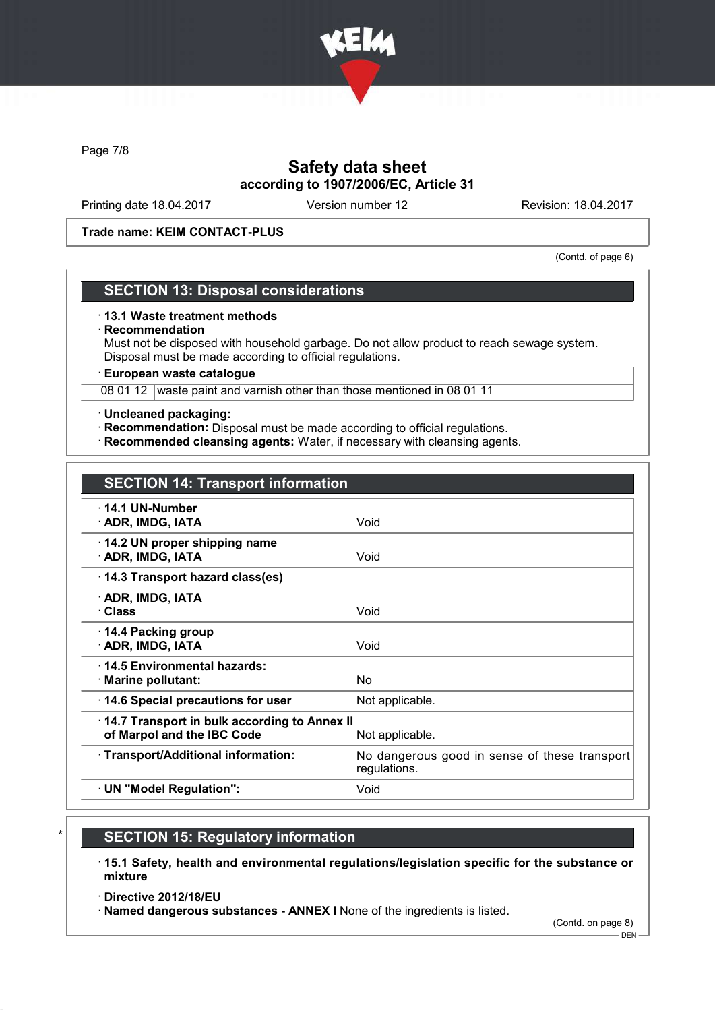

Page 7/8

# Safety data sheet according to 1907/2006/EC, Article 31

Printing date 18.04.2017 Version number 12 Revision: 18.04.2017

Trade name: KEIM CONTACT-PLUS

(Contd. of page 6)

## SECTION 13: Disposal considerations

### · 13.1 Waste treatment methods

· Recommendation

Must not be disposed with household garbage. Do not allow product to reach sewage system. Disposal must be made according to official regulations.

· European waste catalogue

08 01 12 waste paint and varnish other than those mentioned in 08 01 11

### · Uncleaned packaging:

- · Recommendation: Disposal must be made according to official regulations.
- · Recommended cleansing agents: Water, if necessary with cleansing agents.

| <b>SECTION 14: Transport information</b>                                   |                                                               |  |
|----------------------------------------------------------------------------|---------------------------------------------------------------|--|
| $\cdot$ 14.1 UN-Number<br>· ADR, IMDG, IATA                                | Void                                                          |  |
| 14.2 UN proper shipping name<br>· ADR, IMDG, IATA                          | Void                                                          |  |
| 14.3 Transport hazard class(es)                                            |                                                               |  |
| · ADR, IMDG, IATA<br>· Class                                               | Void                                                          |  |
| 14.4 Packing group<br>· ADR, IMDG, IATA                                    | Void                                                          |  |
| 14.5 Environmental hazards:<br>· Marine pollutant:                         | No.                                                           |  |
| 14.6 Special precautions for user                                          | Not applicable.                                               |  |
| 14.7 Transport in bulk according to Annex II<br>of Marpol and the IBC Code | Not applicable.                                               |  |
| · Transport/Additional information:                                        | No dangerous good in sense of these transport<br>regulations. |  |
| · UN "Model Regulation":                                                   | Void                                                          |  |

## **SECTION 15: Regulatory information**

- · 15.1 Safety, health and environmental regulations/legislation specific for the substance or mixture
- · Directive 2012/18/EU

· Named dangerous substances - ANNEX I None of the ingredients is listed.

(Contd. on page 8)

 $-$  DEN